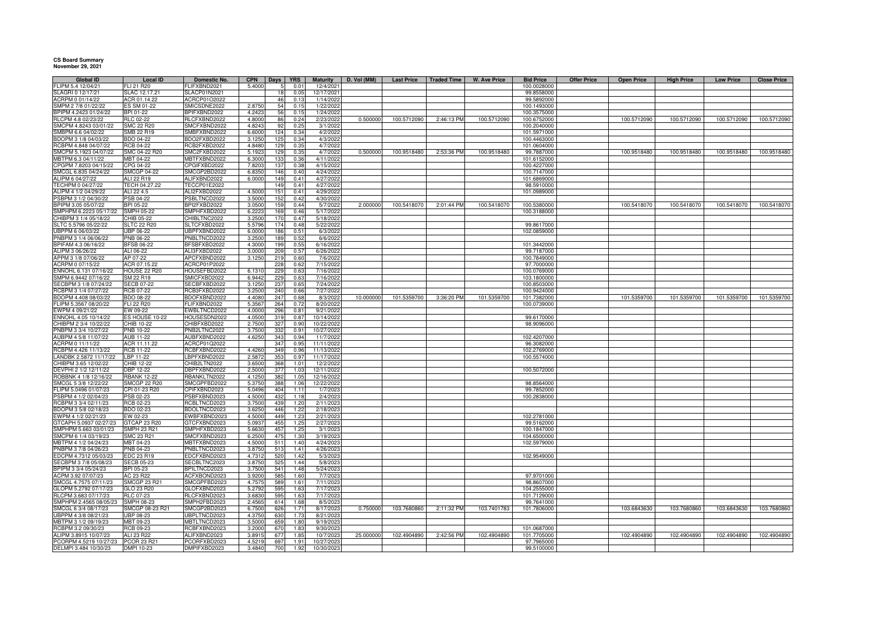## **CS Board Summary November 29, 2021**

| Global ID                                      | Local ID                         | Domestic No.                 | <b>CPN</b>       | Days       | YRS          | <b>Maturity</b>        | D. Vol (MM) | <b>Last Price</b> | <b>Traded Time</b> | W. Ave Price | <b>Bid Price</b>          | <b>Offer Price</b> | <b>Open Price</b> | <b>High Price</b> | <b>Low Price</b> | <b>Close Price</b> |
|------------------------------------------------|----------------------------------|------------------------------|------------------|------------|--------------|------------------------|-------------|-------------------|--------------------|--------------|---------------------------|--------------------|-------------------|-------------------|------------------|--------------------|
| FLIPM 5.4 12/04/21                             | FLI 21 R20                       | FLIFXBND2021                 | 5.4000           |            | 0.01         | 12/4/2021              |             |                   |                    |              | 100.0028000               |                    |                   |                   |                  |                    |
| SLAGRI 0 12/17/21                              | SLAC 12.17.21                    | <b>SLACP01N2021</b>          |                  | 18         | 0.05         | 12/17/2021             |             |                   |                    |              | 99.8558000                |                    |                   |                   |                  |                    |
| ACRPM 0 01/14/22                               | ACR 01.14.22                     | ACRCP01O2022                 |                  | 46         | 0.13         | 1/14/2022              |             |                   |                    |              | 99.5892000                |                    |                   |                   |                  |                    |
| SMPM 2 7/8 01/22/22                            | ES SM 01-22                      | SMICSDNE2022                 | 2.8750           | 54         | 0.15         | 1/22/2022              |             |                   |                    |              | 100.1493000               |                    |                   |                   |                  |                    |
| BPIPM 4.2423 01/24/22                          | BPI 01-22                        | BPIFXBND2022                 | 4.2423           | 56         | 0.15         | 1/24/2022              |             |                   |                    |              | 100.3575000               |                    |                   |                   |                  |                    |
| RLCPM 4.8 02/23/22                             | RLC 02-22                        | RLCFXBND2022                 | 4.8000           | 86         | 0.24         | 2/23/2022              | 0.50000     | 100.5712090       | 2:46:13 PM         | 100.5712090  | 100.6752000               |                    | 100.5712090       | 100.5712090       | 100.5712090      | 100.5712090        |
| MCPM 4.8243 03/01/22                           | <b>SMC 22 R20</b>                | SMCFXBND2022                 | 4.8243           | 92         | 0.25         | 3/1/2022               |             |                   |                    |              | 100.2040000               |                    |                   |                   |                  |                    |
| MBPM 6.6 04/02/22                              | SMB 22 R19                       | SMBFXBND2022                 | 6.6000           | 124        | 0.34         | 4/2/2022               |             |                   |                    |              | 101.5971000               |                    |                   |                   |                  |                    |
| BDOPM 3 1/8 04/03/22                           | BDO 04-22                        | BDO2FXBD2022                 | 3.1250           | 125        | 0.34         | 4/3/2022               |             |                   |                    |              | 100.4463000               |                    |                   |                   |                  |                    |
| RCBPM 4.848 04/07/22                           | <b>RCB 04-22</b>                 | RCB2FXBD2022                 | 4.8480           | 129        | 0.35         | 4/7/2022               |             |                   |                    |              | 101.0604000               |                    |                   |                   |                  |                    |
| SMCPM 5.1923 04/07/22                          | SMC 04-22 R20                    | SMC2FXBD2022                 | 5.1923           | 129        | 0.35         | 4/7/2022               | 0.500000    | 100.9518480       | 2:53:36 PM         | 100.9518480  | 99.7887000                |                    | 100.9518480       | 100.9518480       | 100.9518480      | 100.9518480        |
| MBTPM 6.3 04/11/22                             | MBT 04-22                        | MBTFXBND2022                 | 6.300            | 133        | 0.36         | 4/11/2022              |             |                   |                    |              | 101.6152000               |                    |                   |                   |                  |                    |
| PGPM 7.8203 04/15/22                           | CPG 04-22                        | CPGIFXBD2022                 | 7.8203           | 137        | 0.35         | 4/15/2022              |             |                   |                    |              | 100.4227000               |                    |                   |                   |                  |                    |
| SMCGL 6.835 04/24/22                           | <b>SMCGP 04-22</b>               | SMCGP2BD2022                 | 6.835            | 146        | 0.40         | 4/24/2022              |             |                   |                    |              | 100.7147000               |                    |                   |                   |                  |                    |
| ALIPM 6 04/27/22                               | ALI 22 R19                       | ALIFXBND2022                 | 6.0000           | 149        | 0.41         | 4/27/2022              |             |                   |                    |              | 101.6869000               |                    |                   |                   |                  |                    |
| TECHPM 0 04/27/22<br>ALIPM 4 1/2 04/29/22      | TECH 04.27.22<br>ALI 22 4.5      | TECCP01E2022<br>ALI2FXBD2022 | 4.5000           | 149<br>151 | 0.41<br>0.41 | 4/27/2022<br>4/29/2022 |             |                   |                    |              | 98.5910000<br>101.0989000 |                    |                   |                   |                  |                    |
| PSBPM 3 1/2 04/30/22                           | PSB 04-22                        | PSBLTNCD2022                 |                  | 152        | 0.42         |                        |             |                   |                    |              |                           |                    |                   |                   |                  |                    |
| BPIPM 3.05 05/07/22                            | BPI 05-22                        | BPI2FXBD2022                 | 3.500<br>3.050   | 15         | 0.44         | 4/30/2022<br>5/7/2022  | 2.000000    | 100.5418070       | 2:01:44 PM         | 100.5418070  | 100.5380000               |                    | 100.5418070       | 100.5418070       | 100.5418070      | 100.5418070        |
| SMPHPM 6.2223 05/17/22                         | <b>SMPH 05-22</b>                | SMPHFXBD2022                 | 6.222            | 169        | 0.46         | 5/17/2022              |             |                   |                    |              | 100.3188000               |                    |                   |                   |                  |                    |
| CHIBPM 3 1/4 05/18/22                          | CHIB 05-22                       | CHIBLTNC2022                 | 3.250            | 17         | 0.47         | 5/18/2022              |             |                   |                    |              |                           |                    |                   |                   |                  |                    |
| SLTC 5.5796 05/22/22                           | <b>SLTC 22 R20</b>               | SLTCFXBD2022                 | 5.5796           | 174        | 0.48         | 5/22/2022              |             |                   |                    |              | 99.8617000                |                    |                   |                   |                  |                    |
| UBPPM 6 06/03/22                               | <b>UBP 06-22</b>                 | UBPFXBND2022                 | 6.0000           | 186        | 0.51         | 6/3/2022               |             |                   |                    |              | 102.0859000               |                    |                   |                   |                  |                    |
| PNBPM 3 1/4 06/06/22                           | PNB 06-22                        | PNBLTNCD2022                 | 3.2500           | 189        | 0.52         | 6/6/2022               |             |                   |                    |              |                           |                    |                   |                   |                  |                    |
| BPIFAM 4.3 06/16/22                            | <b>BFSB 06-22</b>                | BFSBFXBD2022                 | 4.3000           | 199        | 0.55         | 6/16/2022              |             |                   |                    |              | 101.3442000               |                    |                   |                   |                  |                    |
| ALIPM 3 06/26/22                               | ALI 06-22                        | ALI3FXBD2022                 | 3.0000           | 209        | 0.57         | 6/26/2022              |             |                   |                    |              | 99.7187000                |                    |                   |                   |                  |                    |
| APPM 3 1/8 07/06/22                            | AP 07-22                         | APCFXBND2022                 | 3.1250           | 219        | 0.60         | 7/6/2022               |             |                   |                    |              | 100.7849000               |                    |                   |                   |                  |                    |
| ACRPM 0 07/15/22                               | ACR 07.15.22                     | ACRCP01P2022                 |                  | 228        | 0.62         | 7/15/2022              |             |                   |                    |              | 97.7000000                |                    |                   |                   |                  |                    |
| ENNOHL 6.131 07/16/22                          | <b>HOUSE 22 R20</b>              | HOUSEFBD2022                 | 6.1310           | 229        | 0.63         | 7/16/2022              |             |                   |                    |              | 100.0769000               |                    |                   |                   |                  |                    |
| MPM 6.9442 07/16/22                            | SM 22 R19                        | SMICFXBD2022                 | 6.9442           | 229        | 0.63         | 7/16/2022              |             |                   |                    |              | 103.1800000               |                    |                   |                   |                  |                    |
| ECBPM 3 1/8 07/24/22                           | <b>SECB 07-22</b>                | SECBFXBD2022                 | 3.125            | 237        | 0.65         | 7/24/2022              |             |                   |                    |              | 100.8503000               |                    |                   |                   |                  |                    |
| CBPM 3 1/4 07/27/22                            | <b>RCB 07-22</b>                 | RCB3FXBD2022                 | 3.250            | 240        | 0.66         | 7/27/2022              |             |                   |                    |              | 100.9424000               |                    |                   |                   |                  |                    |
| DOPM 4.408 08/03/22                            | BDO 08-22                        | BDOFXBND2022                 | 4.408            | 247        | 0.68         | 8/3/2022               | 10.00000    | 101.5359700       | 3:36:20 PM         | 101.5359700  | 101.7382000               |                    | 101.5359700       | 101.5359700       | 101.5359700      | 101.5359700        |
| FLIPM 5.3567 08/20/22                          | FLI 22 R20                       | FLIFXBND2022                 | 5.356            | 264        | 0.72         | 8/20/2022              |             |                   |                    |              | 100.0739000               |                    |                   |                   |                  |                    |
| EWPM 4 09/21/22                                | EW 09-22                         | EWBLTNCD2022                 | 4.0000           | 296        | 0.81         | 9/21/2022              |             |                   |                    |              |                           |                    |                   |                   |                  |                    |
| ENNOHL 4.05 10/14/22                           | ES HOUSE 10-22                   | HOUSESDN2022                 | 4.050            | 319        | 0.87         | 10/14/2022             |             |                   |                    |              | 99.6170000                |                    |                   |                   |                  |                    |
| HIBPM 2 3/4 10/22/22                           | CHIB 10-22                       | CHIBFXBD2022                 | 2.7500           | 327        | 0.90         | 10/22/2022             |             |                   |                    |              | 98.9096000                |                    |                   |                   |                  |                    |
| PNBPM 3 3/4 10/27/22                           | PNB 10-22                        | PNB2LTNC2022                 | 3.7500           | 332        | 0.91         | 10/27/2022             |             |                   |                    |              |                           |                    |                   |                   |                  |                    |
| AUBPM 4 5/8 11/07/22                           | AUB 11-22                        | AUBFXBND2022                 | 4.6250           | 343        | 0.94         | 11/7/2022              |             |                   |                    |              | 102.4207000               |                    |                   |                   |                  |                    |
| ACRPM 0 11/11/22                               | ACR 11.11.22                     | ACRCP01Q2022                 |                  | 347        | 0.95         | 11/11/2022             |             |                   |                    |              | 96.3082000                |                    |                   |                   |                  |                    |
| RCBPM 4.426 11/13/22                           | RCB 11-22                        | RCBFXBND2022                 | 4.4260           | 349        | 0.96         | 11/13/2022             |             |                   |                    |              | 102.2769000               |                    |                   |                   |                  |                    |
| LANDBK 2.5872 11/17/22                         | LBP 11-22                        | LBPFXBND2022                 | 2.587            | 353        | 0.97         | 11/17/2022             |             |                   |                    |              | 100.5574000               |                    |                   |                   |                  |                    |
| CHIBPM 3.65 12/02/22                           | CHIB 12-22                       | CHIB2LTN2022                 | 3.650            | 368        | 1.01         | 12/2/2022              |             |                   |                    |              |                           |                    |                   |                   |                  |                    |
| DEVPHI 2 1/2 12/11/22                          | DBP 12-22                        | DBPFXBND2022                 | 2.5000           | 377        | 1.03         | 12/11/2022             |             |                   |                    |              | 100.5072000               |                    |                   |                   |                  |                    |
| ROBBNK 4 1/8 12/16/22                          | <b>RBANK 12-22</b>               | RBANKLTN2022                 | 4.125            | 382        | 1.05         | 12/16/2022             |             |                   |                    |              |                           |                    |                   |                   |                  |                    |
| SMCGL 5 3/8 12/22/22                           | <b>SMCGP 22 R20</b>              | SMCGPFBD2022                 | 5.375            | 388        | 1.06         | 12/22/2022             |             |                   |                    |              | 98.8564000                |                    |                   |                   |                  |                    |
| FLIPM 5.0496 01/07/23                          | CPI 01-23 R20                    | CPIFXBND2023                 | 5.0496           | 404        | 1.11         | 1/7/2023               |             |                   |                    |              | 99.7852000                |                    |                   |                   |                  |                    |
| PSBPM 4 1/2 02/04/23                           | PSB 02-23                        | PSBFXBND2023                 | 4.5000           | 432        | 1.18         | 2/4/2023               |             |                   |                    |              | 100.2838000               |                    |                   |                   |                  |                    |
| RCBPM 3 3/4 02/11/23                           | RCB 02-23                        | RCBLTNCD2023                 | 3.7500           | 439        | 1.20         | 2/11/2023              |             |                   |                    |              |                           |                    |                   |                   |                  |                    |
| BDOPM 3 5/8 02/18/23                           | BDO 02-23                        | BDOLTNCD2023                 | 3.6250           | 446        | 1.22         | 2/18/2023              |             |                   |                    |              |                           |                    |                   |                   |                  |                    |
| WPM 4 1/2 02/21/23                             | EW 02-23                         | EWBFXBND2023                 | 4.5000           | 449        | 1.23         | 2/21/2023              |             |                   |                    |              | 102.2781000               |                    |                   |                   |                  |                    |
| GTCAPH 5.0937 02/27/23                         | GTCAP 23 R20                     | GTCFXBND2023                 | 5.0937           | 455        | 1.25         | 2/27/2023              |             |                   |                    |              | 99.5162000                |                    |                   |                   |                  |                    |
| SMPHPM 5.663 03/01/23                          | SMPH 23 R21                      | SMPHFXBD2023                 | 5.6630           | 457        | 1.25         | 3/1/2023               |             |                   |                    |              | 100.1847000               |                    |                   |                   |                  |                    |
| SMCPM 6 1/4 03/19/23                           | SMC 23 R21                       | SMCFXBND2023                 | 6.2500           | 475        | 1.30         | 3/19/2023              |             |                   |                    |              | 104.6500000               |                    |                   |                   |                  |                    |
| MBTPM 4 1/2 04/24/23                           | MBT 04-23                        | MBTFXBND2023                 | 4.5000           | 511        | 1.40         | 4/24/2023              |             |                   |                    |              | 102.5979000               |                    |                   |                   |                  |                    |
| NBPM 3 7/8 04/26/23                            | PNB 04-23                        | PNBLTNCD2023                 | 3.8750           | 513        | 1.41         | 4/26/2023              |             |                   |                    |              |                           |                    |                   |                   |                  |                    |
| DCPM 4.7312 05/03/23                           | EDC 23 R19                       | EDCFXBND2023                 | 4.7312           | 520        | 1.42         | 5/3/2023               |             |                   |                    |              | 102.9549000               |                    |                   |                   |                  |                    |
| ECBPM 3 7/8 05/08/23                           | <b>SECB 05-23</b>                | SECBLTNC2023                 | 3.8750           | 525        | 1.44         | 5/8/2023               |             |                   |                    |              |                           |                    |                   |                   |                  |                    |
| PIPM 3 3/4 05/24/23                            | BPI 05-23                        | BPILTNCD2023                 | 3.7500           | 541        | 1.48<br>1.60 | 5/24/2023              |             |                   |                    |              |                           |                    |                   |                   |                  |                    |
| CPM 3.92 07/07/23                              | AC 23 R22<br><b>SMCGP 23 R21</b> | ACFXBOND2023<br>SMCGPFBD2023 | 3.9200           | 585<br>589 |              | 7/7/2023               |             |                   |                    |              | 97.9701000<br>98.8607000  |                    |                   |                   |                  |                    |
| SMCGL 4.7575 07/11/23<br>GLOPM 5.2792 07/17/23 |                                  |                              | 4.7575<br>5.2792 | 595        | 1.61<br>1.63 | 7/11/2023              |             |                   |                    |              | 104.2555000               |                    |                   |                   |                  |                    |
| RLCPM 3.683 07/17/23                           | GLO 23 R20                       | GLOFXBND2023<br>RLCFXBND2023 | 3.683            | 595        |              | 7/17/2023<br>7/17/2023 |             |                   |                    |              | 101.7129000               |                    |                   |                   |                  |                    |
| SMPHPM 2.4565 08/05/23                         | RLC 07-23<br>SMPH 08-23          | SMPH2FBD2023                 | 2.456            | 614        | 1.63<br>1.68 | 8/5/2023               |             |                   |                    |              | 99.7641000                |                    |                   |                   |                  |                    |
| SMCGL 6 3/4 08/17/23                           | SMCGP 08-23 R21                  | SMCGP2BD2023                 | 6.7500           | 626        | 1.71         | 8/17/2023              | 0.750000    | 103.7680860       | 2:11:32 PM         | 103.7401783  | 101.7806000               |                    | 103.6843630       | 103.7680860       | 103.6843630      | 103.7680860        |
| UBPPM 4 3/8 08/21/23                           | UBP 08-23                        | UBPLTNCD2023                 | 4.3750           | 630        | 1.73         | 8/21/2023              |             |                   |                    |              |                           |                    |                   |                   |                  |                    |
| MBTPM 3 1/2 09/19/23                           | MBT 09-23                        | MBTLTNCD2023                 | 3.5000           | 659        | 1.80         | 9/19/2023              |             |                   |                    |              |                           |                    |                   |                   |                  |                    |
| RCBPM 3.2 09/30/23                             | <b>RCB 09-23</b>                 | RCBFXBND2023                 | 3,200            | 670        | 1.83         | 9/30/2023              |             |                   |                    |              | 101.0687000               |                    |                   |                   |                  |                    |
| ALIPM 3.8915 10/07/23                          | ALI 23 R22                       | ALIFXBND2023                 | 3.891            | 677        | 1.85         | 10/7/2023              | 25.000000   | 102.4904890       | 2:42:56 PM         | 102.4904890  | 101.7705000               |                    | 102.4904890       | 102.4904890       | 102.4904890      | 102.4904890        |
| PCORPM 4.5219 10/27/23                         | <b>PCOR 23 R21</b>               | PCORFXBD2023                 | 4.521            | 697        | 1.91         | 10/27/2023             |             |                   |                    |              | 97.7965000                |                    |                   |                   |                  |                    |
| DELMPI 3.484 10/30/23                          | DMPI 10-23                       | DMPIFXBD2023                 | 3.4840           | 700        | 1.92         | 10/30/2023             |             |                   |                    |              | 99.5100000                |                    |                   |                   |                  |                    |
|                                                |                                  |                              |                  |            |              |                        |             |                   |                    |              |                           |                    |                   |                   |                  |                    |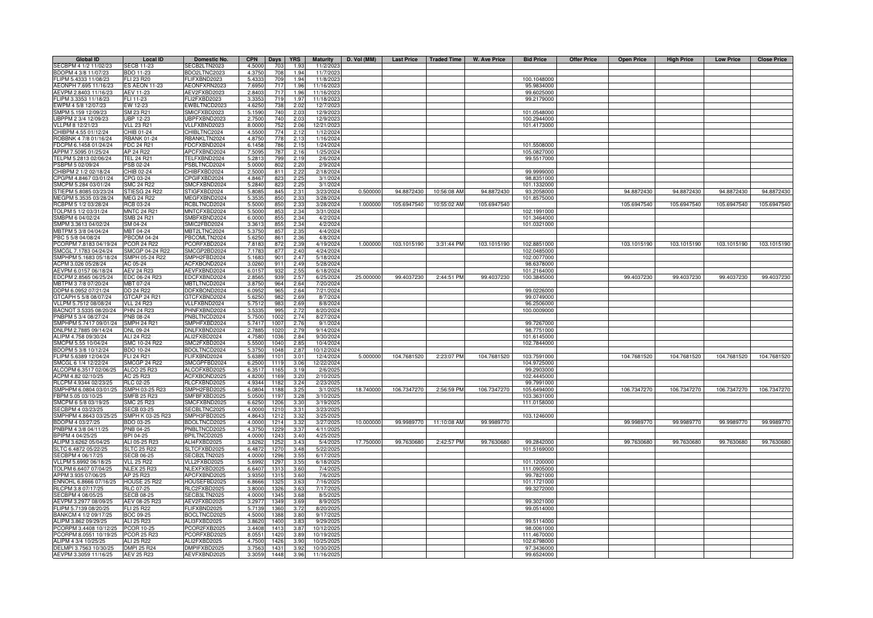| Global ID              | Local ID             | Domestic No.        | <b>CPN</b> | <b>Days</b> | <b>YRS</b>       | <b>Maturity</b> | D. Vol (MM) |             | Last Price   Traded Time | W. Ave Price | <b>Bid Price</b> | <b>Offer Price</b> | <b>Open Price</b> | <b>High Price</b> | <b>Low Price</b> | <b>Close Price</b> |
|------------------------|----------------------|---------------------|------------|-------------|------------------|-----------------|-------------|-------------|--------------------------|--------------|------------------|--------------------|-------------------|-------------------|------------------|--------------------|
| SECBPM 4 1/2 11/02/23  | <b>SECB 11-23</b>    | SECB2LTN2023        | 4.5000     | 703         | 1.93             | 11/2/202        |             |             |                          |              |                  |                    |                   |                   |                  |                    |
| BDOPM 4 3/8 11/07/23   | BDO 11-23            | BDO2LTNC2023        | 4.375      | 708         | 1.94             | 11/7/202        |             |             |                          |              |                  |                    |                   |                   |                  |                    |
| FLIPM 5.4333 11/08/23  | FLI 23 R20           | <b>ELIFXBND2023</b> | 5.433      | 709         | 1.94             | 11/8/202        |             |             |                          |              | 100.1048000      |                    |                   |                   |                  |                    |
| AEONPH 7.695 11/16/23  | <b>ES AEON 11-23</b> | AEONFXRN2023        | 7.6950     | 717         | 1.96             | 11/16/202       |             |             |                          |              | 95.9834000       |                    |                   |                   |                  |                    |
| AEVPM 2.8403 11/16/23  | AEV 11-23            | AEV2FXBD2023        | 2.8403     | 717         | 1.96             | 11/16/2023      |             |             |                          |              | 99.6025000       |                    |                   |                   |                  |                    |
| FLIPM 3.3353 11/18/23  | FLI 11-23            | <b>LI2FXBD2023</b>  | 3.3353     | 719         | 1.97             | 11/18/2023      |             |             |                          |              | 99.2179000       |                    |                   |                   |                  |                    |
|                        |                      |                     |            |             |                  |                 |             |             |                          |              |                  |                    |                   |                   |                  |                    |
| EWPM 4 5/8 12/07/23    | EW 12-23             | EWBLTNCD2023        | 4.625      | 738         | 2.02             | 12/7/202        |             |             |                          |              |                  |                    |                   |                   |                  |                    |
| SMPM 5.159 12/09/23    | SM 23 R21            | SMICFXBD2023        | 5.1590     | 740         | 2.03             | 12/9/202        |             |             |                          |              | 101.0548000      |                    |                   |                   |                  |                    |
| UBPPM 2 3/4 12/09/23   | <b>UBP 12-23</b>     | UBPFXBND2023        | 2.7500     | 740         | 2.03             | 12/9/202        |             |             |                          |              | 100.2944000      |                    |                   |                   |                  |                    |
| VLLPM 8 12/21/23       | <b>VLL 23 R21</b>    | VLLFXBND2023        | 8.000      | 752         | 2.06             | 12/21/202       |             |             |                          |              | 101.4173000      |                    |                   |                   |                  |                    |
| CHIBPM 4.55 01/12/24   | CHIB 01-24           | HIBLTNC2024         | 4.550      | 774         | 2.12             | 1/12/202        |             |             |                          |              |                  |                    |                   |                   |                  |                    |
| ROBBNK 4 7/8 01/16/24  | <b>RBANK 01-24</b>   | RBANKLTN2024        | 4.875      | 778         | 2.13             | 1/16/202        |             |             |                          |              |                  |                    |                   |                   |                  |                    |
| FDCPM 6.1458 01/24/24  | <b>FDC 24 R21</b>    | FDCFXBND2024        | 6.1458     | 786         | 2.15             | 1/24/2024       |             |             |                          |              | 101.5508000      |                    |                   |                   |                  |                    |
| APPM 7.5095 01/25/24   | AP 24 R22            | APCFXBND2024        | 7.5095     | 787         | 2.16             | 1/25/2024       |             |             |                          |              | 105.0827000      |                    |                   |                   |                  |                    |
| TELPM 5.2813 02/06/24  | <b>TEL 24 R21</b>    | TELFXBND2024        | 5.2813     | 799         | 2.19             | 2/6/202         |             |             |                          |              | 99.5517000       |                    |                   |                   |                  |                    |
| PSBPM 5 02/09/24       | PSB 02-24            | PSBLTNCD2024        | 5.000      | 802         | 2.20             | 2/9/202         |             |             |                          |              |                  |                    |                   |                   |                  |                    |
| CHIBPM 2 1/2 02/18/24  | CHIB 02-24           | CHIBFXBD2024        | 2.500      | 811         | 2.22             | 2/18/2024       |             |             |                          |              | 99.9999000       |                    |                   |                   |                  |                    |
|                        |                      |                     |            |             |                  |                 |             |             |                          |              |                  |                    |                   |                   |                  |                    |
| CPGPM 4.8467 03/01/24  | CPG 03-24            | CPGIFXBD2024        | 4.846      | 82          | 2.25             | 3/1/202         |             |             |                          |              | 98.8351000       |                    |                   |                   |                  |                    |
| SMCPM 5.284 03/01/24   | <b>SMC 24 R22</b>    | SMCFXBND2024        | 5.284      | 823         | 2.25             | 3/1/202         |             |             |                          |              | 101.1332000      |                    |                   |                   |                  |                    |
| STIEPM 5.8085 03/23/24 | STIESG 24 R22        | STIGFXBD2024        | 5.808      | 845         | 2.31             | 3/23/2024       | 0.50000     | 94.8872430  | 10:56:08 AM              | 94.8872430   | 93.2058000       |                    | 94.8872430        | 94.8872430        | 94.8872430       | 94.8872430         |
| MEGPM 5.3535 03/28/24  | <b>MEG 24 R22</b>    | MEGFXBND2024        | 5.353      | 850         | 2.33             | 3/28/202        |             |             |                          |              | 101.8575000      |                    |                   |                   |                  |                    |
| RCBPM 5 1/2 03/28/24   | RCB 03-24            | RCBLTNCD2024        | 5.500      | 850         | 2.3 <sup>′</sup> | 3/28/2024       | 1.000000    | 105.6947540 | 10:55:02 AM              | 105.6947540  |                  |                    | 105.6947540       | 105.6947540       | 105.6947540      | 105.6947540        |
| TOLPM 5 1/2 03/31/24   | <b>MNTC 24 R21</b>   | MNTCFXBD2024        | 5.500      | 853         | 2.34             | 3/31/2024       |             |             |                          |              | 102.1991000      |                    |                   |                   |                  |                    |
| SMBPM 6 04/02/24       | SMB 24 R21           | SMBFXBND2024        | 6.0000     | 855         | 2.34             | 4/2/202         |             |             |                          |              | 101.3464000      |                    |                   |                   |                  |                    |
| SMPM 3.3613 04/02/24   | SM 04-24             | SMIC2FBD2024        | 3.3613     | 855         | 2.34             | 4/2/2024        |             |             |                          |              | 101.0321000      |                    |                   |                   |                  |                    |
| MBTPM 5 3/8 04/04/24   | MBT 04-24            | MBT2LTNC2024        | 5.3750     | 857         | 2.35             | 4/4/2024        |             |             |                          |              |                  |                    |                   |                   |                  |                    |
|                        |                      |                     |            |             |                  |                 |             |             |                          |              |                  |                    |                   |                   |                  |                    |
| PBC 5 5/8 04/08/24     | <b>PBCOM 04-24</b>   | PBCOMLTN2024        | 5.6250     | 861         | 2.36             | 4/8/2024        |             |             |                          |              |                  |                    |                   |                   |                  |                    |
| PCORPM 7.8183 04/19/24 | <b>PCOR 24 R22</b>   | PCORFXBD2024        | 7.8183     | 872         | 2.39             | 4/19/2024       | 1.000000    | 103.1015190 | 3:31:44 PM               | 103.1015190  | 102.8851000      |                    | 103.1015190       | 103.1015190       | 103.1015190      | 103.1015190        |
| SMCGL 7.1783 04/24/24  | SMCGP 04-24 R22      | SMCGP2BD2024        | 7.1783     | 877         | 2.40             | 4/24/2024       |             |             |                          |              | 102.0485000      |                    |                   |                   |                  |                    |
| SMPHPM 5.1683 05/18/24 | SMPH 05-24 R22       | SMPH2FBD2024        | 5.168      | 901         | 2.47             | 5/18/2024       |             |             |                          |              | 102.0077000      |                    |                   |                   |                  |                    |
| ACPM 3.026 05/28/24    | AC 05-24             | ACFXBOND2024        | 3.026      | 911         | 2.49             | 5/28/2024       |             |             |                          |              | 98.6378000       |                    |                   |                   |                  |                    |
| AEVPM 6.0157 06/18/24  | <b>AEV 24 R23</b>    | AEVFXBND2024        | 6.015      | 93          | 2.55             | 6/18/202        |             |             |                          |              | 1012164000       |                    |                   |                   |                  |                    |
| EDCPM 2.8565 06/25/24  | EDC 06-24 R23        | EDCFXBND2024        | 2.856      | 939         | 2.57             | 6/25/202        | 25.000000   | 99.4037230  | 2:44:51 PM               | 99.4037230   | 100.3845000      |                    | 99.4037230        | 99.4037230        | 99.4037230       | 99.4037230         |
| MBTPM 3 7/8 07/20/24   | MBT 07-24            | <b>/BTLTNCD2024</b> | 3.8750     | 964         | 2.64             | 7/20/2024       |             |             |                          |              |                  |                    |                   |                   |                  |                    |
| DDPM 6.0952 07/21/24   | DD 24 R22            | DDFXBOND2024        | 6.095      | 965         | 2.64             | 7/21/2024       |             |             |                          |              | 99.0226000       |                    |                   |                   |                  |                    |
|                        |                      |                     |            |             |                  |                 |             |             |                          |              |                  |                    |                   |                   |                  |                    |
| GTCAPH 5 5/8 08/07/24  | GTCAP 24 R21         | GTCFXBND2024        | 5.625      | 982         | 2.69             | 8/7/202         |             |             |                          |              | 99.0749000       |                    |                   |                   |                  |                    |
| VLLPM 5.7512 08/08/24  | <b>VLL 24 R23</b>    | /LLFXBND2024        | 5.751      | 983         | 2.69             | 8/8/202         |             |             |                          |              | 96.2506000       |                    |                   |                   |                  |                    |
| BACNOT 3.5335 08/20/24 | <b>PHN 24 R23</b>    | HNFXBND2024         | 3.533      | 995         | 2.72             | 8/20/202        |             |             |                          |              | 100.0009000      |                    |                   |                   |                  |                    |
| PNBPM 5 3/4 08/27/24   | PNB 08-24            | PNBLTNCD2024        | 5.750      | 100         | 2.74             | 8/27/202        |             |             |                          |              |                  |                    |                   |                   |                  |                    |
| SMPHPM 5.7417 09/01/24 | SMPH 24 R2           | SMPHFXBD2024        | 5.741      | 100         | 2.7(             | 9/1/202         |             |             |                          |              | 99.7267000       |                    |                   |                   |                  |                    |
| DNLPM 2.7885 09/14/24  | DNL 09-24            | NLFXBND2024         | 2.788      | 102         | 2.79             | 9/14/202        |             |             |                          |              | 98.7751000       |                    |                   |                   |                  |                    |
| ALIPM 4.758 09/30/24   | ALI 24 R22           | ALI2FXBD2024        | 4.7580     | 103         | 2.84             | 9/30/202        |             |             |                          |              | 101.6145000      |                    |                   |                   |                  |                    |
| SMCPM 5.55 10/04/24    | SMC 10-24 R22        | SMC2FXBD2024        | 5.5500     | 1040        | 2.85             | 10/4/2024       |             |             |                          |              | 102.7844000      |                    |                   |                   |                  |                    |
| BDOPM 5 3/8 10/12/24   | BDO 10-24            | BDOLTNCD2024        | 5.3750     | 1048        | 2.87             | 10/12/202       |             |             |                          |              |                  |                    |                   |                   |                  |                    |
| FLIPM 5.6389 12/04/24  | FLI 24 R21           |                     |            | 110         | 3.01             | 12/4/2024       | 5.000000    | 104.7681520 |                          | 104.7681520  | 103.7591000      |                    | 104.7681520       |                   |                  |                    |
|                        |                      | FLIFXBND2024        | 5.6389     |             |                  |                 |             |             | 2:23:07 PM               |              |                  |                    |                   | 104.7681520       | 104.7681520      | 104.7681520        |
| SMCGL 6 1/4 12/22/24   | <b>SMCGP 24 R22</b>  | SMCGPFBD2024        | 6.2500     | 1119        | 3.06             | 12/22/2024      |             |             |                          |              | 104.9725000      |                    |                   |                   |                  |                    |
| ALCOPM 6.3517 02/06/2  | ALCO 25 R23          | ALCOFXBD2025        | 6.351      | 116         | 3.19             | 2/6/202         |             |             |                          |              | 99.2903000       |                    |                   |                   |                  |                    |
| ACPM 4.82 02/10/25     | AC 25 R23            | ACFXBOND2025        | 4.820      | 116         | 32               | 2/10/202        |             |             |                          |              | 102.4445000      |                    |                   |                   |                  |                    |
| RLCPM 4.9344 02/23/25  | <b>RLC 02-25</b>     | RLCFXBND2025        | 4.934      | 118         | 3.24             | 2/23/202        |             |             |                          |              | 99.7991000       |                    |                   |                   |                  |                    |
| SMPHPM 6.0804 03/01/25 | SMPH 03-25 R23       | SMPH2FBD2025        | 6.080      | 1188        | 3.25             | 3/1/202         | 18,74000    | 106.7347270 | 2:56:59 PM               | 106.7347270  | 105.6494000      |                    | 106.7347270       | 106.7347270       | 106.7347270      | 106.7347270        |
| FBPM 5.05 03/10/25     | <b>SMFB 25 R23</b>   | SMFBFXBD2025        | 5.050      | 119         | 3.28             | 3/10/202        |             |             |                          |              | 103.3631000      |                    |                   |                   |                  |                    |
| SMCPM 6 5/8 03/19/25   | <b>SMC 25 R23</b>    | SMCFXBND2025        | 6.625      | 120         | 3.3C             | 3/19/202        |             |             |                          |              | 111.0158000      |                    |                   |                   |                  |                    |
| SECBPM 4 03/23/25      | <b>SECB 03-25</b>    | SECBLTNC2025        | 4.0000     | 1210        | 3.31             | 3/23/202        |             |             |                          |              |                  |                    |                   |                   |                  |                    |
| SMPHPM 4.8643 03/25/25 | SMPH K 03-25 R23     | SMPH3FBD2025        | 4.8643     | 1212        | 3.32             | 3/25/202        |             |             |                          |              | 103.1246000      |                    |                   |                   |                  |                    |
|                        |                      |                     |            | 121.        |                  |                 |             |             |                          |              |                  |                    |                   |                   |                  |                    |
| BDOPM 4 03/27/25       | BDO 03-25            | BDOLTNCD2025        | 4.0000     |             | 3.32             | 3/27/202        | 10.000000   | 99.9989770  | 11:10:08 AM              | 99.9989770   |                  |                    | 99.9989770        | 99.9989770        | 99.9989770       | 99.9989770         |
| PNBPM 4 3/8 04/11/25   | PNB 04-25            | PNBLTNCD2025        | 4.3750     | 1229        | 3.37             | 4/11/202        |             |             |                          |              |                  |                    |                   |                   |                  |                    |
| BPIPM 4 04/25/25       | BPI 04-25            | BPILTNCD2025        | 4.0000     | 1243        | 3.40             | 4/25/202        |             |             |                          |              |                  |                    |                   |                   |                  |                    |
| ALIPM 3.6262 05/04/25  | ALI 05-25 R23        | ALI4FXBD2025        | 3.6262     | 1252        | 3.43             | 5/4/2025        | 17.750000   | 99.7630680  | 2:42:57 PM               | 99.7630680   | 99.2842000       |                    | 99.7630680        | 99.7630680        | 99.7630680       | 99.7630680         |
| SLTC 6.4872 05/22/25   | <b>SLTC 25 R22</b>   | SLTCFXBD2025        | 6.487      | 1270        | 3.48             | 5/22/202        |             |             |                          |              | 101.5169000      |                    |                   |                   |                  |                    |
| SECBPM 4 06/17/25      | <b>SECB 06-25</b>    | ECB2LTN2025         | 4.0000     | 1296        | 3.55             | 6/17/202        |             |             |                          |              |                  |                    |                   |                   |                  |                    |
| VLLPM 5.6992 06/18/25  | <b>VLL 25 R22</b>    | VLL2FXBD2025        | 5.699      | 1297        | 3.55             | 6/18/202        |             |             |                          |              | 101.1200000      |                    |                   |                   |                  |                    |
| TOLPM 6.6407 07/04/25  | <b>NLEX 25 R23</b>   | NLEXFXBD2025        | 6.640      | 1313        | 3.60             | 7/4/202         |             |             |                          |              | 111.0905000      |                    |                   |                   |                  |                    |
| APPM 3.935 07/06/25    | AP 25 R23            | APCFXBND2025        | 3.9350     | 1315        | 3.60             | 7/6/202         |             |             |                          |              | 99.7821000       |                    |                   |                   |                  |                    |
| ENNOHL 6.8666 07/16/25 | <b>HOUSE 25 R22</b>  | HOUSEFBD2025        | 6.8666     | 1325        | 3.63             | 7/16/202        |             |             |                          |              | 101.1721000      |                    |                   |                   |                  |                    |
|                        |                      |                     |            |             |                  |                 |             |             |                          |              |                  |                    |                   |                   |                  |                    |
| RLCPM 3.8 07/17/25     | RLC 07-25            | RLC2FXBD2025        | 3.8000     | 1326        | 3.63             | 7/17/202        |             |             |                          |              | 99.3272000       |                    |                   |                   |                  |                    |
| SECBPM 4 08/05/25      | <b>SECB 08-25</b>    | <b>SECB3LTN2025</b> | 4.0000     | 1345        | 3.68             | 8/5/202         |             |             |                          |              |                  |                    |                   |                   |                  |                    |
| AEVPM 3.2977 08/09/25  | AEV 08-25 R23        | AEV2FXBD2025        | 3.297      | 1349        | 3.69             | 8/9/202         |             |             |                          |              | 99.3021000       |                    |                   |                   |                  |                    |
| FLIPM 5.7139 08/20/25  | FLI 25 R22           | <b>ELIFXBND2025</b> | 5.713      | 1360        | 3.72             | 8/20/202        |             |             |                          |              | 99.0514000       |                    |                   |                   |                  |                    |
| BANKCM 4 1/2 09/17/25  | BOC 09-25            | 3OCLTNCD2025        | 4.500      | 138         | 3.80             | 9/17/202        |             |             |                          |              |                  |                    |                   |                   |                  |                    |
| ALIPM 3.862 09/29/25   | ALI 25 R23           | ALI3FXBD2025        | 3.862      | 1400        | 3.83             | 9/29/202        |             |             |                          |              | 99.5114000       |                    |                   |                   |                  |                    |
| PCORPM 3.4408 10/12/25 | <b>PCOR 10-25</b>    | PCOR2FXB2025        | 3.440      | 1413        | 3.87             | 10/12/202       |             |             |                          |              | 98.0061000       |                    |                   |                   |                  |                    |
| PCORPM 8.0551 10/19/25 | <b>PCOR 25 R23</b>   | PCORFXBD2025        | 8.055      | 1420        | 3.89             | 10/19/202       |             |             |                          |              | 111.4670000      |                    |                   |                   |                  |                    |
|                        |                      |                     |            |             |                  |                 |             |             |                          |              |                  |                    |                   |                   |                  |                    |
| ALIPM 4 3/4 10/25/25   | <b>ALI 25 R22</b>    | ALI2FXBD2025        | 4.750      | 1426        | 3.90             | 10/25/202       |             |             |                          |              | 102.6798000      |                    |                   |                   |                  |                    |
| DELMPI 3.7563 10/30/25 | <b>DMPI 25 R24</b>   | DMPIFXBD2025        | 3.7563     | 1431        | 3.92             | 10/30/202       |             |             |                          |              | 97.3436000       |                    |                   |                   |                  |                    |
| AEVPM 3.3059 11/16/25  | <b>AEV 25 R23</b>    | AEVFXBND2025        | 3.3059     | 1448        | 3.96             | 11/16/202       |             |             |                          |              | 99.6524000       |                    |                   |                   |                  |                    |